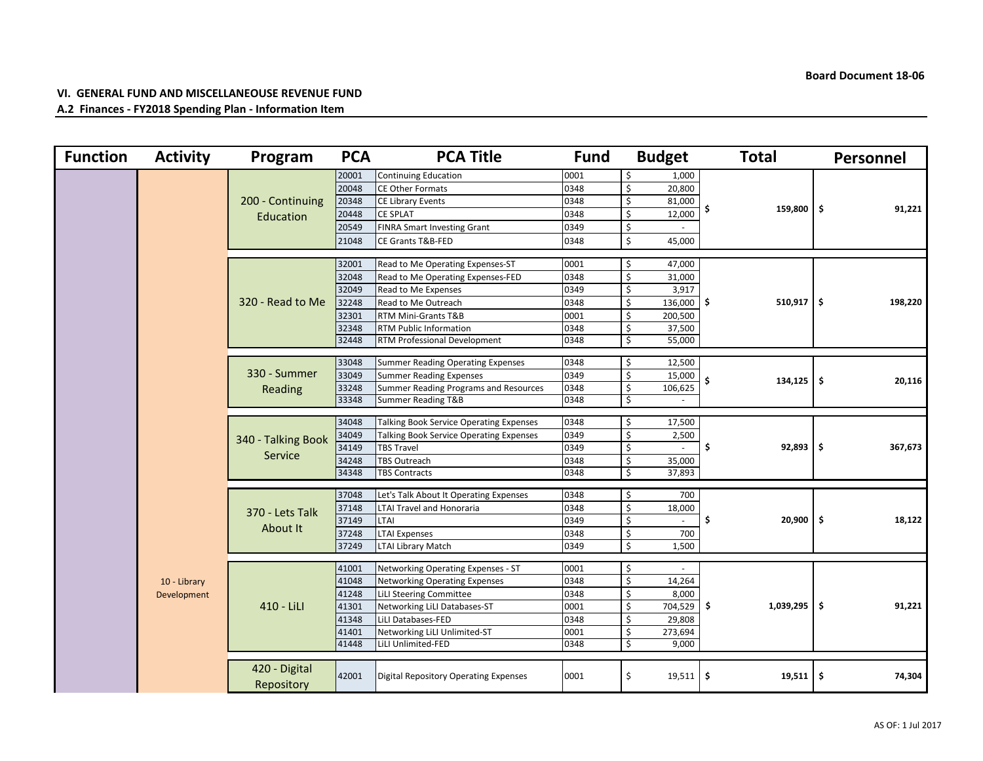## **VI. GENERAL FUND AND MISCELLANEOUSE REVENUE FUND**

## **A.2 Finances - FY2018 Spending Plan - Information Item**

| <b>Function</b> | <b>Activity</b>             | Program                       | <b>PCA</b> | <b>PCA Title</b>                               | <b>Fund</b> |    | <b>Budget</b>      |                   | <b>Total</b> |         | <b>Personnel</b> |
|-----------------|-----------------------------|-------------------------------|------------|------------------------------------------------|-------------|----|--------------------|-------------------|--------------|---------|------------------|
|                 |                             | 200 - Continuing<br>Education | 20001      | Continuing Education                           | 0001        | \$ | $\overline{1,000}$ |                   | $159,800$ \$ |         |                  |
|                 |                             |                               | 20048      | <b>CE Other Formats</b>                        | 0348        | \$ | 20,800             |                   |              |         |                  |
|                 |                             |                               | 20348      | <b>CE Library Events</b>                       | 0348        | \$ | 81,000             |                   |              |         | 91,221           |
|                 |                             |                               | 20448      | <b>CE SPLAT</b>                                | 0348        | \$ | 12,000             | \$                |              |         |                  |
|                 |                             |                               | 20549      | <b>FINRA Smart Investing Grant</b>             | 0349        | \$ |                    |                   |              |         |                  |
|                 |                             |                               | 21048      | <b>CE Grants T&amp;B-FED</b>                   | 0348        | \$ | 45,000             |                   |              |         |                  |
|                 |                             |                               |            |                                                |             |    |                    |                   |              |         |                  |
|                 |                             | 320 - Read to Me              | 32001      | Read to Me Operating Expenses-ST               | 0001        | Ŝ. | 47,000             |                   |              |         |                  |
|                 |                             |                               | 32048      | Read to Me Operating Expenses-FED              | 0348        | \$ | 31,000             |                   |              |         |                  |
|                 |                             |                               | 32049      | Read to Me Expenses                            | 0349        | Ś  | 3,917              |                   |              |         |                  |
|                 |                             |                               | 32248      | Read to Me Outreach                            | 0348        | Ŝ. | $136,000$ \$       |                   | $510,917$ \$ |         | 198,220          |
|                 |                             |                               | 32301      | RTM Mini-Grants T&B                            | 0001        | Ś  | 200,500            |                   |              |         |                  |
|                 |                             |                               | 32348      | <b>RTM Public Information</b>                  | 0348        | Ŝ. | 37,500             |                   |              |         |                  |
|                 |                             |                               | 32448      | <b>RTM Professional Development</b>            | 0348        | \$ | 55,000             |                   |              |         |                  |
|                 |                             |                               | 33048      | <b>Summer Reading Operating Expenses</b>       | 0348        | \$ | 12,500             |                   |              |         |                  |
|                 |                             | 330 - Summer<br>Reading       | 33049      | <b>Summer Reading Expenses</b>                 | 0349        | \$ | 15,000             |                   | 134,125      |         |                  |
|                 |                             |                               | 33248      | Summer Reading Programs and Resources          | 0348        | \$ | 106,625            | \$                |              | \$      | 20,116           |
|                 |                             |                               | 33348      | Summer Reading T&B                             | 0348        | \$ |                    |                   |              |         |                  |
|                 |                             |                               |            |                                                |             |    |                    |                   |              |         |                  |
|                 |                             | 340 - Talking Book<br>Service | 34048      | <b>Talking Book Service Operating Expenses</b> | 0348        | \$ | 17,500             | \$<br>$92,893$ \$ |              |         |                  |
|                 |                             |                               | 34049      | <b>Talking Book Service Operating Expenses</b> | 0349        | \$ | 2,500              |                   |              |         |                  |
|                 |                             |                               | 34149      | <b>TBS Travel</b>                              | 0349        | \$ | $\sim$             |                   |              | 367,673 |                  |
|                 |                             |                               | 34248      | <b>TBS Outreach</b>                            | 0348        | \$ | 35,000             |                   |              |         |                  |
|                 |                             |                               | 34348      | <b>TBS Contracts</b>                           | 0348        | Ś  | 37,893             |                   |              |         |                  |
|                 |                             | 370 - Lets Talk<br>About It   | 37048      | Let's Talk About It Operating Expenses         | 0348        | Ŝ. | 700                | \$                |              |         |                  |
|                 |                             |                               | 37148      | <b>LTAI Travel and Honoraria</b>               | 0348        | \$ | 18,000             |                   |              |         |                  |
|                 |                             |                               | 37149      | <b>LTAI</b>                                    | 0349        | \$ | $\sim$             |                   | $20,900$ \$  |         | 18,122           |
|                 |                             |                               | 37248      | <b>LTAI Expenses</b>                           | 0348        | \$ | 700                |                   |              |         |                  |
|                 |                             |                               | 37249      | <b>LTAI Library Match</b>                      | 0349        | \$ | 1,500              |                   |              |         |                  |
|                 |                             |                               |            |                                                |             |    |                    |                   |              |         |                  |
|                 |                             |                               | 41001      | Networking Operating Expenses - ST             | 0001        | Ŝ  |                    |                   |              |         | 91,221           |
|                 | 10 - Library<br>Development | 410 - LiLl                    | 41048      | <b>Networking Operating Expenses</b>           | 0348        | \$ | 14,264             | $1,039,295$ \$    |              |         |                  |
|                 |                             |                               | 41248      | LiLI Steering Committee                        | 0348        | Ŝ. | 8,000              |                   |              |         |                  |
|                 |                             |                               | 41301      | Networking LiLI Databases-ST                   | 0001        | \$ | 704,529 \$         |                   |              |         |                  |
|                 |                             |                               | 41348      | LiLI Databases-FED                             | 0348        | Ŝ. | 29,808             |                   |              |         |                  |
|                 |                             |                               | 41401      | Networking LiLI Unlimited-ST                   | 0001        | \$ | 273,694            |                   |              |         |                  |
|                 |                             |                               | 41448      | LiLI Unlimited-FED                             | 0348        | Ŝ. | 9,000              |                   |              |         |                  |
|                 |                             | 420 - Digital                 |            |                                                |             |    |                    |                   |              |         |                  |
|                 |                             |                               | 42001      | Digital Repository Operating Expenses          | 0001        | \$ | $19,511$ \$        |                   | 19,511       | \$      | 74,304           |
|                 |                             | Repository                    |            |                                                |             |    |                    |                   |              |         |                  |